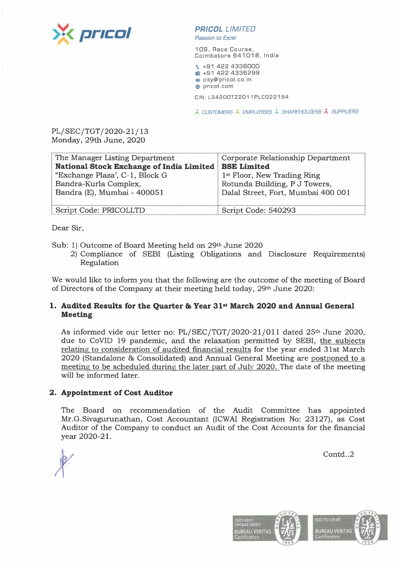

## **PR/COL** LIMITED

Passion *to* Excel

109, Race Course, Coimbatore 641018, India

\. +91 422 4336000 **图 +91 422 4336299 m** city@pricol.co.in **,e** pricol.com

CIN:L34200TZ2011PLC022194

;,. CUSTOMERS /... EMPLOYEES ;,\_ SHAREHOLDERS **A** SUPPLIERS

PL/SEC/TGT/2020-21/ 13 Monday, 29th June, 2020

| The Manager Listing Department           | Corporate Relationship Department       |
|------------------------------------------|-----------------------------------------|
| National Stock Exchange of India Limited | <b>BSE Limited</b>                      |
| "Exchange Plaza', C-1, Block G           | 1 <sup>st</sup> Floor, New Trading Ring |
| Bandra-Kurla Complex,                    | Rotunda Building, P J Towers,           |
| Bandra (E), Mumbai - 400051              | Dalal Street, Fort, Mumbai 400 001      |
|                                          |                                         |
| Script Code: PRICOLLTD                   | Script Code: 540293                     |

Dear Sir,

Sub: 1) Outcome of Board Meeting held on 29th June 2020

2) Compliance of SEBI (Listing Obligations and Disclosure Requirements) Regulation

We would like to inform you that the following are the outcome of the meeting of Board of Directors of the Company at their meeting held today, 29th June 2020:

### **1. Audited Results for the Quarter & Year 31st March 2020 and Annual General Meeting**

As informed vide our letter no: PL/SEC/TGT/2020-21/011 dated 25<sup>th</sup> June 2020, due to CoVID 19 pandemic, and the relaxation permitted by SEBI, the subjects relating to consideration of audited financial results for the year ended 31st March 2020 (Standalone & Consolidated) and Annual General Meeting are postponed to a meeting to be scheduled during the later part of July 2020. The date of the meeting will be informed later.

### **2. Appointment of Cost Auditor**

The Board on recommendation of the Audit Committee has appointed Mr.G.Sivagurunathan, Cost Accountant (ICWAI Registration No: 23127), as Cost Auditor of the Company to conduct an Audit of the Cost Accounts for the financial year 2020-21.

Contd..2